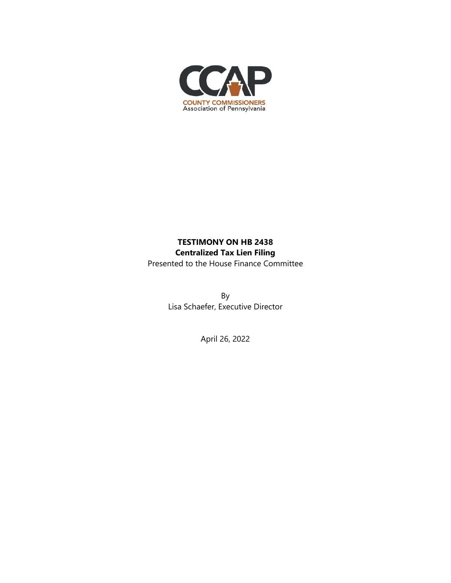

## **TESTIMONY ON HB 2438 Centralized Tax Lien Filing**  Presented to the House Finance Committee

By

Lisa Schaefer, Executive Director

April 26, 2022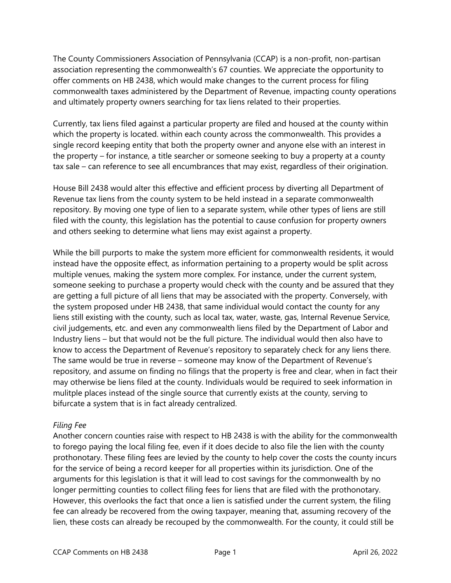The County Commissioners Association of Pennsylvania (CCAP) is a non-profit, non-partisan association representing the commonwealth's 67 counties. We appreciate the opportunity to offer comments on HB 2438, which would make changes to the current process for filing commonwealth taxes administered by the Department of Revenue, impacting county operations and ultimately property owners searching for tax liens related to their properties.

Currently, tax liens filed against a particular property are filed and housed at the county within which the property is located. within each county across the commonwealth. This provides a single record keeping entity that both the property owner and anyone else with an interest in the property – for instance, a title searcher or someone seeking to buy a property at a county tax sale – can reference to see all encumbrances that may exist, regardless of their origination.

House Bill 2438 would alter this effective and efficient process by diverting all Department of Revenue tax liens from the county system to be held instead in a separate commonwealth repository. By moving one type of lien to a separate system, while other types of liens are still filed with the county, this legislation has the potential to cause confusion for property owners and others seeking to determine what liens may exist against a property.

While the bill purports to make the system more efficient for commonwealth residents, it would instead have the opposite effect, as information pertaining to a property would be split across multiple venues, making the system more complex. For instance, under the current system, someone seeking to purchase a property would check with the county and be assured that they are getting a full picture of all liens that may be associated with the property. Conversely, with the system proposed under HB 2438, that same individual would contact the county for any liens still existing with the county, such as local tax, water, waste, gas, Internal Revenue Service, civil judgements, etc. and even any commonwealth liens filed by the Department of Labor and Industry liens – but that would not be the full picture. The individual would then also have to know to access the Department of Revenue's repository to separately check for any liens there. The same would be true in reverse – someone may know of the Department of Revenue's repository, and assume on finding no filings that the property is free and clear, when in fact their may otherwise be liens filed at the county. Individuals would be required to seek information in mulitple places instead of the single source that currently exists at the county, serving to bifurcate a system that is in fact already centralized.

## *Filing Fee*

Another concern counties raise with respect to HB 2438 is with the ability for the commonwealth to forego paying the local filing fee, even if it does decide to also file the lien with the county prothonotary. These filing fees are levied by the county to help cover the costs the county incurs for the service of being a record keeper for all properties within its jurisdiction. One of the arguments for this legislation is that it will lead to cost savings for the commonwealth by no longer permitting counties to collect filing fees for liens that are filed with the prothonotary. However, this overlooks the fact that once a lien is satisfied under the current system, the filing fee can already be recovered from the owing taxpayer, meaning that, assuming recovery of the lien, these costs can already be recouped by the commonwealth. For the county, it could still be